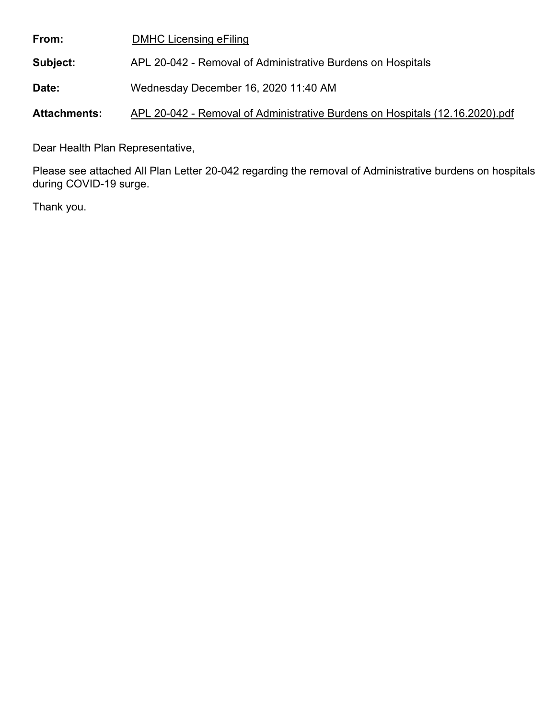| From:        | <b>DMHC Licensing eFiling</b>                               |
|--------------|-------------------------------------------------------------|
| Subject:     | APL 20-042 - Removal of Administrative Burdens on Hospitals |
| <b>Date:</b> | Wednesday December 16, 2020 11:40 AM                        |

**Attachments:** APL 20-042 - Removal of Administrative Burdens on Hospitals (12.16.2020).pdf

Dear Health Plan Representative,

Please see attached All Plan Letter 20-042 regarding the removal of Administrative burdens on hospitals during COVID-19 surge.

Thank you.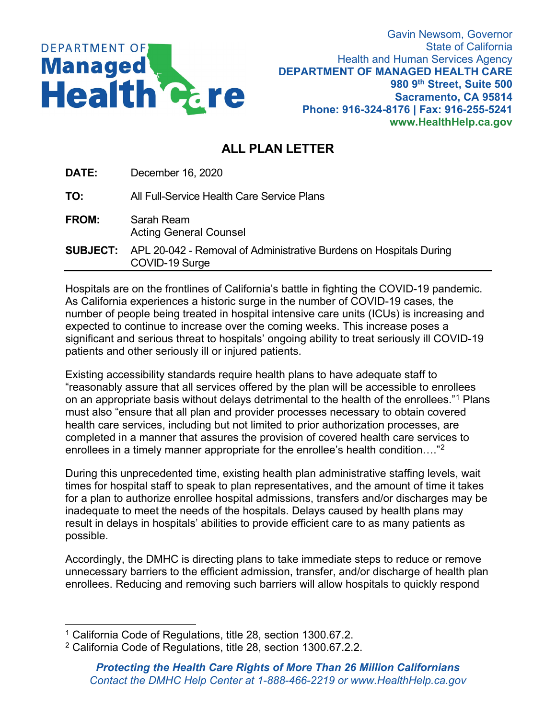

Gavin Newsom, Governor State of California Health and Human Services Agency **DEPARTMENT OF MANAGED HEALTH CARE 980 9th Street, Suite 500 Sacramento, CA 95814 Phone: 916-324-8176 | Fax: 916-255-5241 www.HealthHelp.ca.gov**

## **ALL PLAN LETTER**

**DATE:** December 16, 2020

**TO:** All Full-Service Health Care Service Plans

- **FROM:** Sarah Ream Acting General Counsel
- **SUBJECT:** APL 20-042 Removal of Administrative Burdens on Hospitals During COVID-19 Surge

Hospitals are on the frontlines of California's battle in fighting the COVID-19 pandemic. As California experiences a historic surge in the number of COVID-19 cases, the number of people being treated in hospital intensive care units (ICUs) is increasing and expected to continue to increase over the coming weeks. This increase poses a significant and serious threat to hospitals' ongoing ability to treat seriously ill COVID-19 patients and other seriously ill or injured patients.

Existing accessibility standards require health plans to have adequate staff to "reasonably assure that all services offered by the plan will be accessible to enrollees on an appropriate basis without delays detrimental to the health of the enrollees."[1](#page-1-0) Plans must also "ensure that all plan and provider processes necessary to obtain covered health care services, including but not limited to prior authorization processes, are completed in a manner that assures the provision of covered health care services to enrollees in a timely manner appropriate for the enrollee's health condition…."[2](#page-1-1)

During this unprecedented time, existing health plan administrative staffing levels, wait times for hospital staff to speak to plan representatives, and the amount of time it takes for a plan to authorize enrollee hospital admissions, transfers and/or discharges may be inadequate to meet the needs of the hospitals. Delays caused by health plans may result in delays in hospitals' abilities to provide efficient care to as many patients as possible.

Accordingly, the DMHC is directing plans to take immediate steps to reduce or remove unnecessary barriers to the efficient admission, transfer, and/or discharge of health plan enrollees. Reducing and removing such barriers will allow hospitals to quickly respond

<span id="page-1-0"></span><sup>1</sup> California Code of Regulations, title 28, section 1300.67.2.

<span id="page-1-1"></span><sup>2</sup> California Code of Regulations, title 28, section 1300.67.2.2.